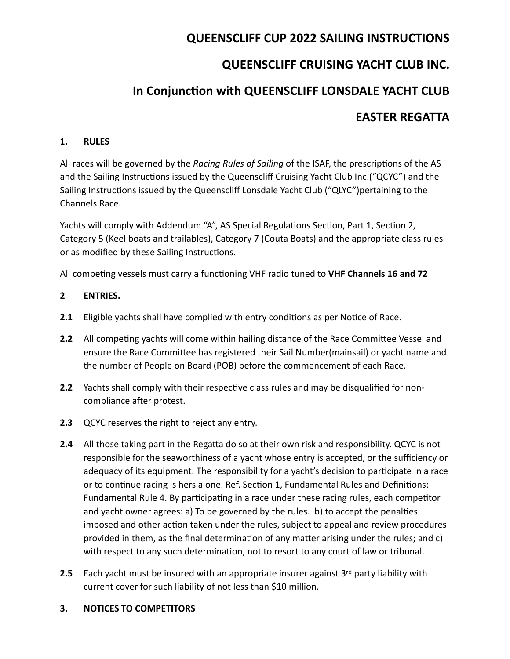# **QUEENSCLIFF CUP 2022 SAILING INSTRUCTIONS**

# **QUEENSCLIFF CRUISING YACHT CLUB INC.**

# In Conjunction with QUEENSCLIFF LONSDALE YACHT CLUB

# **EASTER REGATTA**

## **1. RULES**

All races will be governed by the *Racing Rules of Sailing* of the ISAF, the prescriptions of the AS and the Sailing Instructions issued by the Queenscliff Cruising Yacht Club Inc.("QCYC") and the Sailing Instructions issued by the Queenscliff Lonsdale Yacht Club ("QLYC")pertaining to the Channels Race.

Yachts will comply with Addendum "A", AS Special Regulations Section, Part 1, Section 2, Category 5 (Keel boats and trailables), Category 7 (Couta Boats) and the appropriate class rules or as modified by these Sailing Instructions.

All competing vessels must carry a functioning VHF radio tuned to VHF Channels 16 and 72

# **2 ENTRIES.**

- **2.1** Eligible yachts shall have complied with entry conditions as per Notice of Race.
- **2.2** All competing yachts will come within hailing distance of the Race Committee Vessel and ensure the Race Committee has registered their Sail Number(mainsail) or yacht name and the number of People on Board (POB) before the commencement of each Race.
- **2.2** Yachts shall comply with their respective class rules and may be disqualified for noncompliance after protest.
- **2.3** QCYC reserves the right to reject any entry.
- **2.4** All those taking part in the Regatta do so at their own risk and responsibility. QCYC is not responsible for the seaworthiness of a yacht whose entry is accepted, or the sufficiency or adequacy of its equipment. The responsibility for a yacht's decision to participate in a race or to continue racing is hers alone. Ref. Section 1, Fundamental Rules and Definitions: Fundamental Rule 4. By participating in a race under these racing rules, each competitor and yacht owner agrees: a) To be governed by the rules.  $\mathbf b$  to accept the penalties imposed and other action taken under the rules, subject to appeal and review procedures provided in them, as the final determination of any matter arising under the rules; and  $c$ ) with respect to any such determination, not to resort to any court of law or tribunal.
- **2.5** Each yacht must be insured with an appropriate insurer against  $3^{rd}$  party liability with current cover for such liability of not less than \$10 million.

## **3. NOTICES TO COMPETITORS**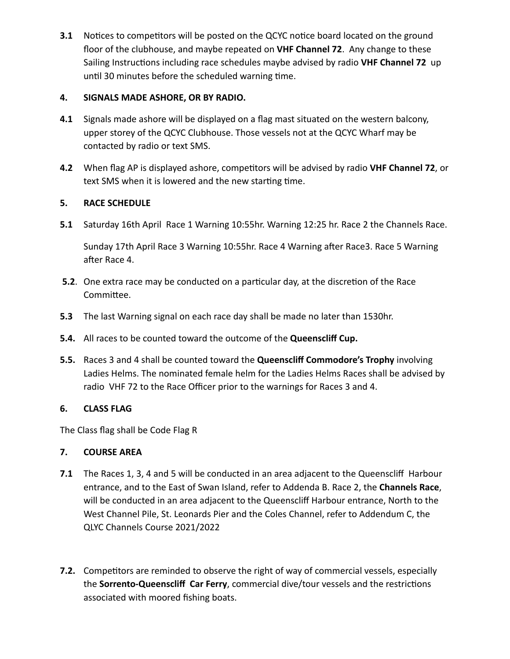**3.1** Notices to competitors will be posted on the QCYC notice board located on the ground floor of the clubhouse, and maybe repeated on VHF Channel 72. Any change to these Sailing Instructions including race schedules maybe advised by radio VHF Channel 72 up until 30 minutes before the scheduled warning time.

# **4. SIGNALS MADE ASHORE, OR BY RADIO.**

- **4.1** Signals made ashore will be displayed on a flag mast situated on the western balcony, upper storey of the QCYC Clubhouse. Those vessels not at the QCYC Wharf may be contacted by radio or text SMS.
- **4.2** When flag AP is displayed ashore, competitors will be advised by radio VHF Channel 72, or text SMS when it is lowered and the new starting time.

# **5. RACE SCHEDULE**

**5.1** Saturday 16th April Race 1 Warning 10:55hr. Warning 12:25 hr. Race 2 the Channels Race.

Sunday 17th April Race 3 Warning 10:55hr. Race 4 Warning after Race3. Race 5 Warning after Race 4.

- **5.2**. One extra race may be conducted on a particular day, at the discretion of the Race Committee.
- **5.3** The last Warning signal on each race day shall be made no later than 1530hr.
- **5.4.** All races to be counted toward the outcome of the Queenscliff Cup.
- **5.5.** Races 3 and 4 shall be counted toward the **Queenscliff Commodore's Trophy** involving Ladies Helms. The nominated female helm for the Ladies Helms Races shall be advised by radio VHF 72 to the Race Officer prior to the warnings for Races 3 and 4.

## **6. CLASS FLAG**

The Class flag shall be Code Flag R

## **7. COURSE AREA**

- **7.1** The Races 1, 3, 4 and 5 will be conducted in an area adjacent to the Queenscliff Harbour entrance, and to the East of Swan Island, refer to Addenda B. Race 2, the **Channels Race**, will be conducted in an area adjacent to the Queenscliff Harbour entrance, North to the West Channel Pile, St. Leonards Pier and the Coles Channel, refer to Addendum C, the QLYC Channels Course 2021/2022
- **7.2.** Competitors are reminded to observe the right of way of commercial vessels, especially the **Sorrento-Queenscliff Car Ferry**, commercial dive/tour vessels and the restrictions associated with moored fishing boats.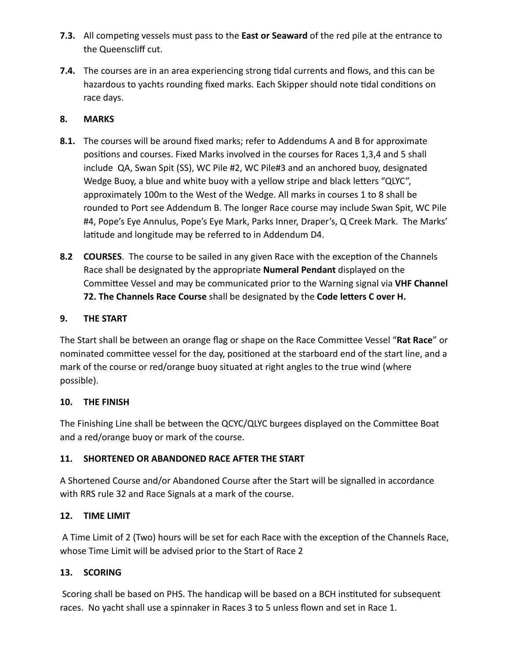- **7.3.** All competing vessels must pass to the **East or Seaward** of the red pile at the entrance to the Queenscliff cut.
- **7.4.** The courses are in an area experiencing strong tidal currents and flows, and this can be hazardous to yachts rounding fixed marks. Each Skipper should note tidal conditions on race days.

# **8. MARKS**

- **8.1.** The courses will be around fixed marks; refer to Addendums A and B for approximate positions and courses. Fixed Marks involved in the courses for Races 1,3,4 and 5 shall include QA, Swan Spit (SS), WC Pile #2, WC Pile#3 and an anchored buoy, designated Wedge Buoy, a blue and white buoy with a yellow stripe and black letters "QLYC", approximately 100m to the West of the Wedge. All marks in courses 1 to 8 shall be rounded to Port see Addendum B. The longer Race course may include Swan Spit, WC Pile #4, Pope's Eye Annulus, Pope's Eye Mark, Parks Inner, Draper's, Q Creek Mark. The Marks' latitude and longitude may be referred to in Addendum D4.
- **8.2 COURSES**. The course to be sailed in any given Race with the exception of the Channels Race shall be designated by the appropriate **Numeral Pendant** displayed on the Committee Vessel and may be communicated prior to the Warning signal via VHF Channel **72.** The Channels Race Course shall be designated by the Code letters C over H.

# **9. THE START**

The Start shall be between an orange flag or shape on the Race Committee Vessel "Rat Race" or nominated committee vessel for the day, positioned at the starboard end of the start line, and a mark of the course or red/orange buoy situated at right angles to the true wind (where possible). 

## 10. THE FINISH

The Finishing Line shall be between the QCYC/QLYC burgees displayed on the Committee Boat and a red/orange buoy or mark of the course.

# 11. SHORTENED OR ABANDONED RACE AFTER THE START

A Shortened Course and/or Abandoned Course after the Start will be signalled in accordance with RRS rule 32 and Race Signals at a mark of the course.

## **12. TIME LIMIT**

A Time Limit of 2 (Two) hours will be set for each Race with the exception of the Channels Race, whose Time Limit will be advised prior to the Start of Race 2

## **13. SCORING**

Scoring shall be based on PHS. The handicap will be based on a BCH instituted for subsequent races. No yacht shall use a spinnaker in Races 3 to 5 unless flown and set in Race 1.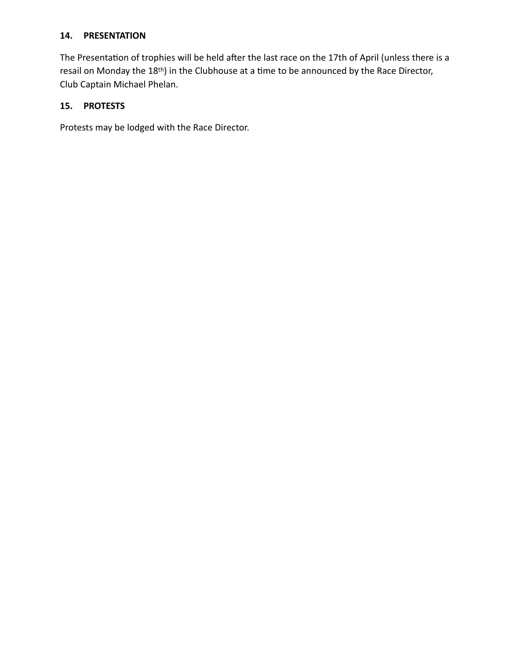#### **14. PRESENTATION**

The Presentation of trophies will be held after the last race on the 17th of April (unless there is a resail on Monday the 18<sup>th</sup>) in the Clubhouse at a time to be announced by the Race Director, Club Captain Michael Phelan.

## **15. PROTESTS**

Protests may be lodged with the Race Director.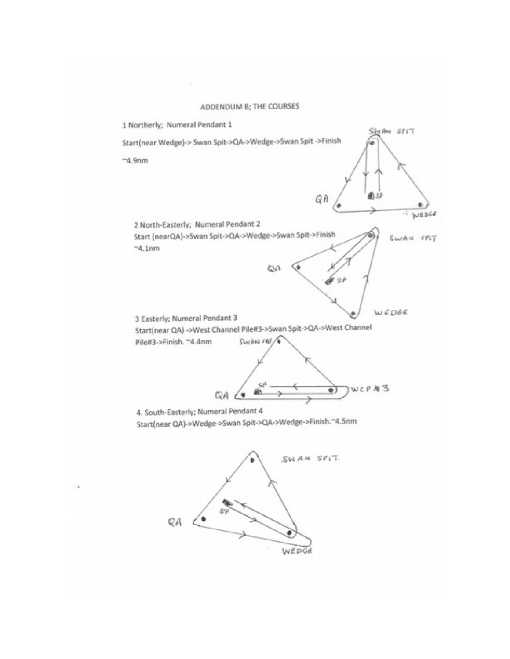#### ADDENDUM B; THE COURSES



Start(near QA)->Wedge->Swan Spit->QA->Wedge->Finish.~4.5nm

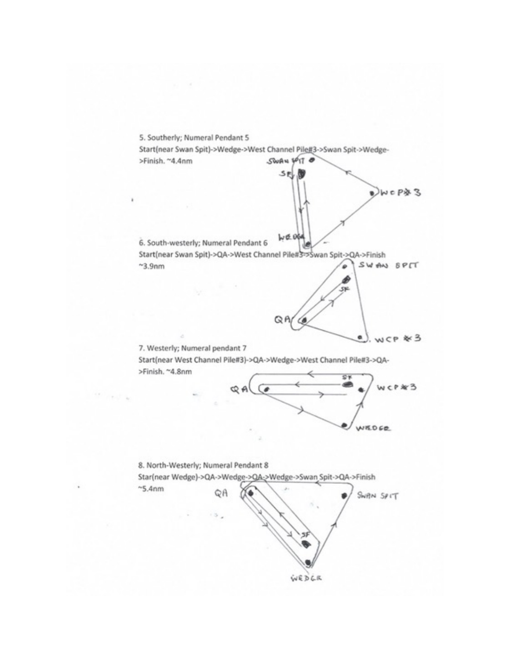

 $l$ , wcp  $*3$ 7. Westerly; Numeral pendant 7 Start(near West Channel Pile#3)->QA->Wedge->West Channel Pile#3->QA->Finish. ~4.8nm C'H



ø,



¥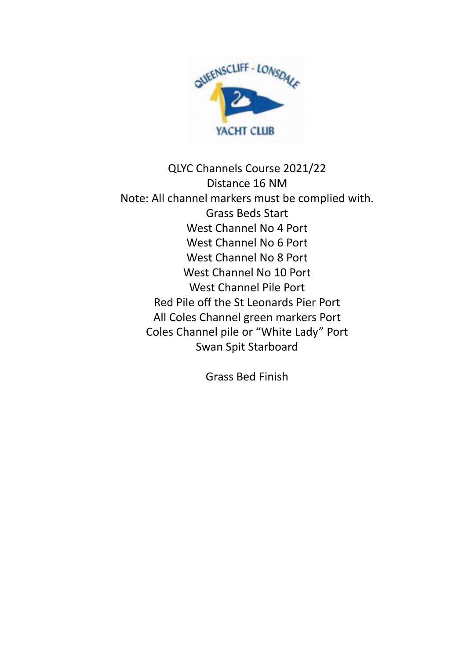

QLYC Channels Course 2021/22 Distance 16 NM Note: All channel markers must be complied with. Grass Beds Start West Channel No 4 Port West Channel No 6 Port West Channel No 8 Port West Channel No 10 Port West Channel Pile Port Red Pile off the St Leonards Pier Port All Coles Channel green markers Port Coles Channel pile or "White Lady" Port Swan Spit Starboard

Grass Bed Finish